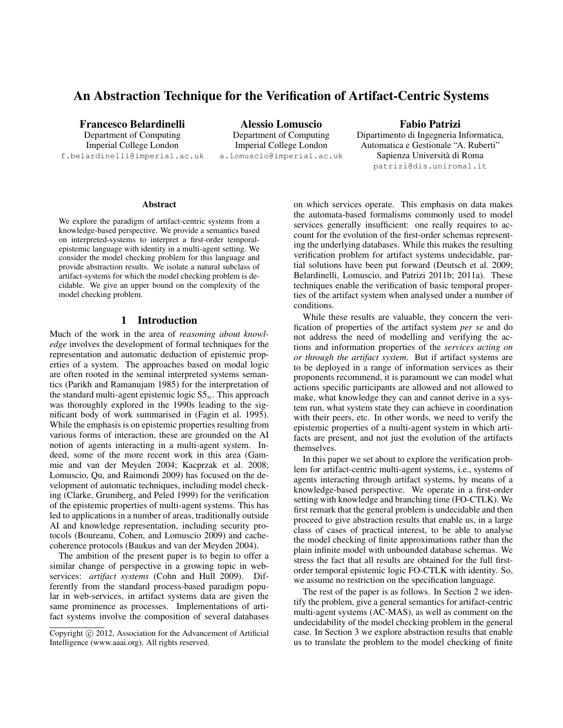# An Abstraction Technique for the Verification of Artifact-Centric Systems

Francesco Belardinelli Department of Computing Imperial College London f.belardinelli@imperial.ac.uk

Alessio Lomuscio Department of Computing Imperial College London a.lomuscio@imperial.ac.uk

Fabio Patrizi Dipartimento di Ingegneria Informatica, Automatica e Gestionale "A. Ruberti" Sapienza Universita di Roma ` patrizi@dis.uniroma1.it

#### **Abstract**

We explore the paradigm of artifact-centric systems from a knowledge-based perspective. We provide a semantics based on interpreted-systems to interpret a first-order temporalepistemic language with identity in a multi-agent setting. We consider the model checking problem for this language and provide abstraction results. We isolate a natural subclass of artifact-systems for which the model checking problem is decidable. We give an upper bound on the complexity of the model checking problem.

## 1 Introduction

Much of the work in the area of *reasoning about knowledge* involves the development of formal techniques for the representation and automatic deduction of epistemic properties of a system. The approaches based on modal logic are often rooted in the seminal interpreted systems semantics (Parikh and Ramanujam 1985) for the interpretation of the standard multi-agent epistemic logic  $SS_n$ . This approach was thoroughly explored in the 1990s leading to the significant body of work summarised in (Fagin et al. 1995). While the emphasis is on epistemic properties resulting from various forms of interaction, these are grounded on the AI notion of agents interacting in a multi-agent system. Indeed, some of the more recent work in this area (Gammie and van der Meyden 2004; Kacprzak et al. 2008; Lomuscio, Qu, and Raimondi 2009) has focused on the development of automatic techniques, including model checking (Clarke, Grumberg, and Peled 1999) for the verification of the epistemic properties of multi-agent systems. This has led to applications in a number of areas, traditionally outside AI and knowledge representation, including security protocols (Boureanu, Cohen, and Lomuscio 2009) and cachecoherence protocols (Baukus and van der Meyden 2004).

The ambition of the present paper is to begin to offer a similar change of perspective in a growing topic in webservices: *artifact systems* (Cohn and Hull 2009). Differently from the standard process-based paradigm popular in web-services, in artifact systems data are given the same prominence as processes. Implementations of artifact systems involve the composition of several databases

on which services operate. This emphasis on data makes the automata-based formalisms commonly used to model services generally insufficient: one really requires to account for the evolution of the first-order schemas representing the underlying databases. While this makes the resulting verification problem for artifact systems undecidable, partial solutions have been put forward (Deutsch et al. 2009; Belardinelli, Lomuscio, and Patrizi 2011b; 2011a). These techniques enable the verification of basic temporal properties of the artifact system when analysed under a number of conditions.

While these results are valuable, they concern the verification of properties of the artifact system *per se* and do not address the need of modelling and verifying the actions and information properties of the *services acting on or through the artifact system*. But if artifact systems are to be deployed in a range of information services as their proponents recommend, it is paramount we can model what actions specific participants are allowed and not allowed to make, what knowledge they can and cannot derive in a system run, what system state they can achieve in coordination with their peers, etc. In other words, we need to verify the epistemic properties of a multi-agent system in which artifacts are present, and not just the evolution of the artifacts themselves.

In this paper we set about to explore the verification problem for artifact-centric multi-agent systems, i.e., systems of agents interacting through artifact systems, by means of a knowledge-based perspective. We operate in a first-order setting with knowledge and branching time (FO-CTLK). We first remark that the general problem is undecidable and then proceed to give abstraction results that enable us, in a large class of cases of practical interest, to be able to analyse the model checking of finite approximations rather than the plain infinite model with unbounded database schemas. We stress the fact that all results are obtained for the full firstorder temporal epistemic logic FO-CTLK with identity. So, we assume no restriction on the specification language.

The rest of the paper is as follows. In Section 2 we identify the problem, give a general semantics for artifact-centric multi-agent systems (AC-MAS), as well as comment on the undecidability of the model checking problem in the general case. In Section 3 we explore abstraction results that enable us to translate the problem to the model checking of finite

Copyright (c) 2012, Association for the Advancement of Artificial Intelligence (www.aaai.org). All rights reserved.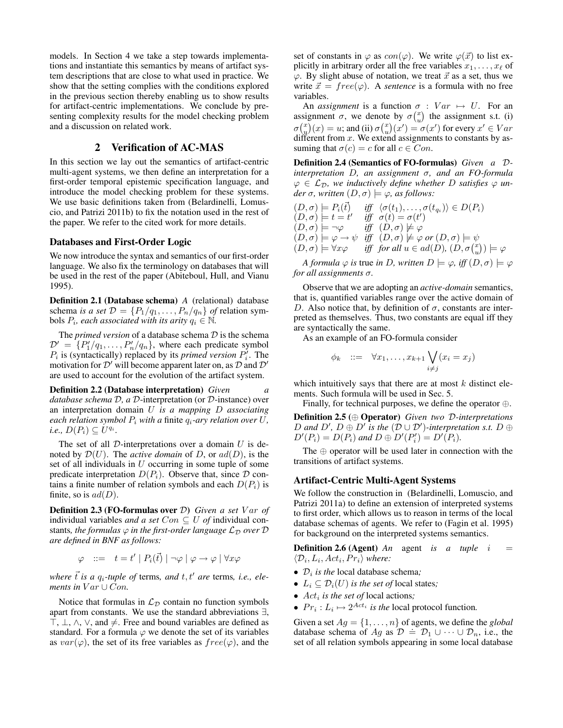models. In Section 4 we take a step towards implementations and instantiate this semantics by means of artifact system descriptions that are close to what used in practice. We show that the setting complies with the conditions explored in the previous section thereby enabling us to show results for artifact-centric implementations. We conclude by presenting complexity results for the model checking problem and a discussion on related work.

## 2 Verification of AC-MAS

In this section we lay out the semantics of artifact-centric multi-agent systems, we then define an interpretation for a first-order temporal epistemic specification language, and introduce the model checking problem for these systems. We use basic definitions taken from (Belardinelli, Lomuscio, and Patrizi 2011b) to fix the notation used in the rest of the paper. We refer to the cited work for more details.

## Databases and First-Order Logic

We now introduce the syntax and semantics of our first-order language. We also fix the terminology on databases that will be used in the rest of the paper (Abiteboul, Hull, and Vianu 1995).

Definition 2.1 (Database schema) *A* (relational) database schema *is a set*  $\mathcal{D} = \{P_1/q_1, \ldots, P_n/q_n\}$  *of* relation symbols  $P_i$ , each associated with its arity  $q_i \in \mathbb{N}$ .

The *primed version* of a database schema  $D$  is the schema  $\mathcal{D}' = \{P_1'/q_1, \ldots, P_n'/q_n\}$ , where each predicate symbol  $P_i$  is (syntactically) replaced by its *primed version*  $P'_i$ . The motivation for  $\mathcal{D}'$  will become apparent later on, as  $\mathcal D$  and  $\mathcal D'$ are used to account for the evolution of the artifact system.

Definition 2.2 (Database interpretation) *Given a database schema* D*, a* D-interpretation (or D-instance) over an interpretation domain U *is a mapping* D *associating each relation symbol*  $P_i$  *with a finite*  $q_i$ *-ary relation over*  $U$ *,*  $i.e., D(P_i) \subseteq U^{q_i}.$ 

The set of all  $D$ -interpretations over a domain  $U$  is denoted by  $\mathcal{D}(U)$ . The *active domain* of D, or  $ad(D)$ , is the set of all individuals in  $U$  occurring in some tuple of some predicate interpretation  $D(P_i)$ . Observe that, since  $D$  contains a finite number of relation symbols and each  $D(P_i)$  is finite, so is  $ad(D)$ .

**Definition 2.3 (FO-formulas over D)** Given a set V ar of individual variables *and a set*  $Con \subseteq U$  *of* individual constants, the formulas  $\varphi$  in the first-order language  $\mathcal{L}_D$  over  $D$ *are defined in BNF as follows:*

$$
\varphi \quad ::= \quad t = t' \mid P_i(\vec{t}) \mid \neg \varphi \mid \varphi \rightarrow \varphi \mid \forall x \varphi
$$

*where*  $\vec{t}$  *is a*  $q_i$ -tuple of terms, and  $t, t'$  are terms, i.e., ele*ments in*  $Var \cup Con$ .

Notice that formulas in  $\mathcal{L}_D$  contain no function symbols apart from constants. We use the standard abbreviations ∃,  $\top$ ,  $\bot$ ,  $\land$ ,  $\lor$ , and  $\neq$ . Free and bound variables are defined as standard. For a formula  $\varphi$  we denote the set of its variables as  $var(\varphi)$ , the set of its free variables as  $free(\varphi)$ , and the set of constants in  $\varphi$  as  $con(\varphi)$ . We write  $\varphi(\vec{x})$  to list explicitly in arbitrary order all the free variables  $x_1, \ldots, x_\ell$  of  $\varphi$ . By slight abuse of notation, we treat  $\vec{x}$  as a set, thus we write  $\vec{x} = free(\varphi)$ . A *sentence* is a formula with no free variables.

An *assignment* is a function  $\sigma : Var \mapsto U$ . For an assignment  $\sigma$ , we denote by  $\sigma\binom{x}{y}$  the assignment s.t. (i)  $\sigma\binom{x}{y}(x) = u$ ; and (ii)  $\sigma\binom{x}{y}(x') = \sigma(x')$  for every  $x' \in Var$ different from  $x$ . We extend assignments to constants by assuming that  $\sigma(c) = c$  for all  $c \in Con$ .

Definition 2.4 (Semantics of FO-formulas) *Given a* D*interpretation* D*, an assignment* σ*, and an FO-formula*  $\varphi \in L_{\mathcal{D}}$ , we inductively define whether D satisfies  $\varphi$  un*der*  $\sigma$ *, written*  $(D, \sigma) \models \varphi$ *, as follows:* 

$$
(D, \sigma) \models P_i(\vec{t}) \quad \text{iff} \quad \langle \sigma(t_1), \dots, \sigma(t_{q_i}) \rangle \in D(P_i) (D, \sigma) \models t = t' \quad \text{iff} \quad \sigma(t) = \sigma(t') (D, \sigma) \models \neg \varphi \quad \text{iff} \quad (D, \sigma) \not\models \varphi (D, \sigma) \models \varphi \rightarrow \psi \quad \text{iff} \quad (D, \sigma) \not\models \varphi \text{ or } (D, \sigma) \models \psi (D, \sigma) \models \forall x \varphi \quad \text{iff} \text{ for all } u \in ad(D), (D, \sigma(\frac{x}{u})) \models \varphi
$$

*A formula*  $\varphi$  *is true in D, written*  $D \models \varphi$ *, iff*  $(D, \sigma) \models \varphi$ *for all assignments* σ*.*

Observe that we are adopting an *active-domain* semantics, that is, quantified variables range over the active domain of D. Also notice that, by definition of  $\sigma$ , constants are interpreted as themselves. Thus, two constants are equal iff they are syntactically the same.

As an example of an FO-formula consider

$$
\phi_k \quad ::= \quad \forall x_1, \dots, x_{k+1} \bigvee_{i \neq j} (x_i = x_j)
$$

which intuitively says that there are at most  $k$  distinct elements. Such formula will be used in Sec. 5.

Finally, for technical purposes, we define the operator ⊕.

Definition 2.5 (⊕ Operator) *Given two* D*-interpretations* D and D',  $D \oplus D'$  is the  $(D \cup D')$ -interpretation s.t.  $D \oplus D'$  $D'(P_i) = D(P_i)$  and  $D \oplus D'(P'_i) = D'(\overline{P_i})$ .

The ⊕ operator will be used later in connection with the transitions of artifact systems.

## Artifact-Centric Multi-Agent Systems

We follow the construction in (Belardinelli, Lomuscio, and Patrizi 2011a) to define an extension of interpreted systems to first order, which allows us to reason in terms of the local database schemas of agents. We refer to (Fagin et al. 1995) for background on the interpreted systems semantics.

**Definition 2.6 (Agent)** *An* agent *is a tuple*  $i =$  $\langle \mathcal{D}_i, L_i, Act_i, Pr_i \rangle$  where:

- $\mathcal{D}_i$  *is the* local database schema;
- $L_i \subseteq \mathcal{D}_i(U)$  *is the set of* local states;
- $Act_i$  *is the set of* local actions;
- $Pr_i: L_i \mapsto 2^{Act_i}$  *is the* local protocol function.

Given a set  $Ag = \{1, \ldots, n\}$  of agents, we define the *global* database schema of  $Ag$  as  $D = D_1 \cup \cdots \cup D_n$ , i.e., the set of all relation symbols appearing in some local database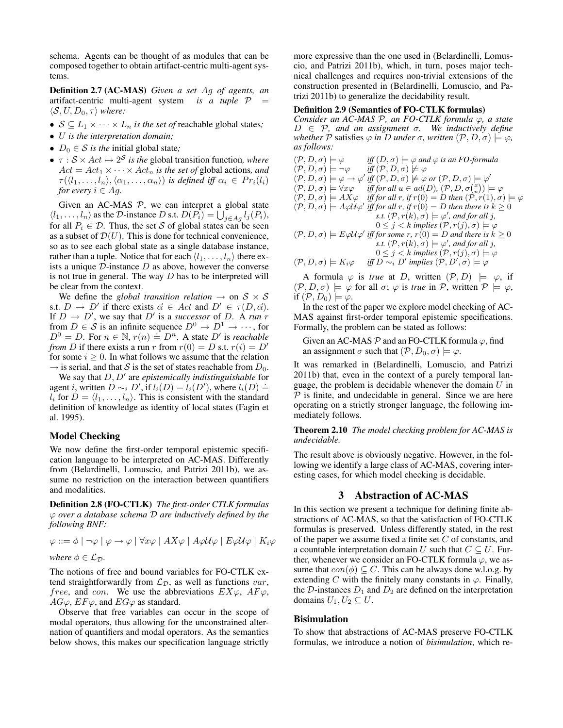schema. Agents can be thought of as modules that can be composed together to obtain artifact-centric multi-agent systems.

Definition 2.7 (AC-MAS) *Given a set* Ag *of agents, an* artifact-centric multi-agent system *is a tuple*  $P$  $\langle S, U, D_0, \tau \rangle$  *where:* 

- $S \subseteq L_1 \times \cdots \times L_n$  *is the set of* reachable global states;
- U *is the interpretation domain;*
- $D_0 \in S$  *is the* initial global state;
- $\tau : \mathcal{S} \times Act \mapsto 2^{\mathcal{S}}$  *is the* global transition function, *where*  $Act = Act_1 \times \cdots \times Act_n$  *is the set of global actions, and*  $\tau(\langle l_1,\ldots,l_n\rangle,\langle \alpha_1,\ldots,\alpha_n\rangle)$  *is defined iff*  $\alpha_i \in Pr_i(l_i)$ *for every*  $i \in Ag$ .

Given an AC-MAS  $P$ , we can interpret a global state  $\langle l_1, \ldots, l_n \rangle$  as the D-instance D s.t.  $D(P_i) = \bigcup_{j \in Ag} l_j(P_i)$ , for all  $P_i \in \mathcal{D}$ . Thus, the set S of global states can be seen as a subset of  $\mathcal{D}(U)$ . This is done for technical convenience, so as to see each global state as a single database instance, rather than a tuple. Notice that for each  $\langle l_1, \ldots, l_n \rangle$  there exists a unique  $D$ -instance  $D$  as above, however the converse is not true in general. The way  $D$  has to be interpreted will be clear from the context.

We define the *global transition relation*  $\rightarrow$  on  $S \times S$ s.t.  $D \to D'$  if there exists  $\vec{\alpha} \in Act$  and  $D' \in \tau(D, \vec{\alpha})$ . If  $D \to D'$ , we say that  $D'$  is a *successor* of D. A *run* r from  $D \in \mathcal{S}$  is an infinite sequence  $D^0 \to D^1 \to \cdots$ , for From  $D \in \mathcal{O}$  is an immediate  $D \to D \to \cdots$ , for  $D^0 = D$ . For  $n \in \mathbb{N}$ ,  $r(n) = D^n$ . A state D' is *reachable from* D if there exists a run r from  $r(0) = D$  s.t.  $r(i) = D'$ for some  $i > 0$ . In what follows we assume that the relation  $\rightarrow$  is serial, and that S is the set of states reachable from  $D_0$ .

We say that  $D, D'$  are *epistemically indistinguishable* for agent *i*, written  $D \sim_i D'$ , if  $l_i(D) = l_i(D')$ , where  $l_i(D) \doteq$  $l_i$  for  $D = \langle l_1, \ldots, l_n \rangle$ . This is consistent with the standard definition of knowledge as identity of local states (Fagin et al. 1995).

## Model Checking

We now define the first-order temporal epistemic specification language to be interpreted on AC-MAS. Differently from (Belardinelli, Lomuscio, and Patrizi 2011b), we assume no restriction on the interaction between quantifiers and modalities.

Definition 2.8 (FO-CTLK) *The first-order CTLK formulas* ϕ *over a database schema* D *are inductively defined by the following BNF:*

 $\varphi ::= \phi \mid \neg \varphi \mid \varphi \rightarrow \varphi \mid \forall x \varphi \mid AX\varphi \mid A\varphi \mathcal{U}\varphi \mid E\varphi \mathcal{U}\varphi \mid K_i\varphi$ *where*  $\phi \in \mathcal{L}_{\mathcal{D}}$ *.* 

The notions of free and bound variables for FO-CTLK extend straightforwardly from  $\mathcal{L}_D$ , as well as functions var, *free*, and *con*. We use the abbreviations  $EX\varphi$ ,  $AF\varphi$ ,  $AG\varphi$ ,  $EF\varphi$ , and  $EG\varphi$  as standard.

Observe that free variables can occur in the scope of modal operators, thus allowing for the unconstrained alternation of quantifiers and modal operators. As the semantics below shows, this makes our specification language strictly

more expressive than the one used in (Belardinelli, Lomuscio, and Patrizi 2011b), which, in turn, poses major technical challenges and requires non-trivial extensions of the construction presented in (Belardinelli, Lomuscio, and Patrizi 2011b) to generalize the decidability result.

## Definition 2.9 (Semantics of FO-CTLK formulas)

*Consider an AC-MAS* P*, an FO-CTLK formula* ϕ*, a state* D ∈ P*, and an assignment* σ*. We inductively define whether*  $P$  satisfies  $\varphi$  *in* D *under*  $\sigma$ *, written*  $(P, D, \sigma) \models \varphi$ *, as follows:*

 $iff(D, \sigma) \models \varphi \text{ and } \varphi \text{ is an FO-formula}$  $(\mathcal{P}, D, \sigma) \models \varphi$  *iff*  $(D, \sigma) \models \varphi$  and  $(\mathcal{P}, D, \sigma) \models \neg \varphi$  *iff*  $(\mathcal{P}, D, \sigma) \not\models \varphi$  $(\mathcal{P}, D, \sigma) \models \varphi \rightarrow \varphi' \text{ iff } (\mathcal{P}, D, \sigma) \not\models \varphi \text{ or } (\mathcal{P}, D, \sigma) \models \varphi'$  $(\mathcal{P}, D, \sigma) \models \forall x \varphi \quad \textit{iff for all } u \in ad(D), (\mathcal{P}, D, \sigma_{u}^{(x)}) \models \varphi$  $(\mathcal{P}, D, \sigma) \models AX\varphi$  *iff for all r, if*  $r(0) = D$  *then*  $(\mathcal{P}, r(1), \sigma) \models \varphi$  $(\mathcal{P}, D, \sigma) \models A\varphi\mathcal{U}\varphi'$  *iff for all r, if*  $r(0) = D$  *then there is*  $k \geq 0$ *s.t.*  $(\mathcal{P}, r(k), \sigma) \models \varphi'$ , and for all j,  $0 \leq j < k$  *implies*  $(\mathcal{P}, r(j), \sigma) \models \varphi$  $(P, D, \sigma) \models E \varphi \mathcal{U} \varphi'$  *iff for some r, r*(0) = *D and there is*  $k \ge 0$ *s.t.*  $(\mathcal{P}, r(k), \sigma) \models \varphi'$ , and for all j,  $0 \leq j < k$  *implies*  $(\mathcal{P}, r(j), \sigma) \models \varphi$  $(\mathcal{P}, D, \sigma) \models K_i \varphi$  $\forall$  implies  $(\mathcal{P}, D', \sigma) \models \varphi$ 

A formula  $\varphi$  is *true* at D, written  $(\mathcal{P}, D) \models \varphi$ , if  $(\mathcal{P}, D, \sigma) \models \varphi$  for all  $\sigma$ ;  $\varphi$  is *true* in  $\mathcal{P}$ , written  $\mathcal{P} \models \varphi$ , if  $(\mathcal{P}, D_0) \models \varphi$ .

In the rest of the paper we explore model checking of AC-MAS against first-order temporal epistemic specifications. Formally, the problem can be stated as follows:

Given an AC-MAS  $\mathcal P$  and an FO-CTLK formula  $\varphi$ , find an assignment  $\sigma$  such that  $(\mathcal{P}, D_0, \sigma) \models \varphi$ .

It was remarked in (Belardinelli, Lomuscio, and Patrizi 2011b) that, even in the context of a purely temporal language, the problem is decidable whenever the domain  $U$  in  $P$  is finite, and undecidable in general. Since we are here operating on a strictly stronger language, the following immediately follows.

Theorem 2.10 *The model checking problem for AC-MAS is undecidable.*

The result above is obviously negative. However, in the following we identify a large class of AC-MAS, covering interesting cases, for which model checking is decidable.

## 3 Abstraction of AC-MAS

In this section we present a technique for defining finite abstractions of AC-MAS, so that the satisfaction of FO-CTLK formulas is preserved. Unless differently stated, in the rest of the paper we assume fixed a finite set  $C$  of constants, and a countable interpretation domain U such that  $C \subseteq U$ . Further, whenever we consider an FO-CTLK formula  $\varphi$ , we assume that  $con(\phi) \subseteq C$ . This can be always done w.l.o.g. by extending C with the finitely many constants in  $\varphi$ . Finally, the  $D$ -instances  $D_1$  and  $D_2$  are defined on the interpretation domains  $U_1, U_2 \subseteq U$ .

## **Bisimulation**

To show that abstractions of AC-MAS preserve FO-CTLK formulas, we introduce a notion of *bisimulation*, which re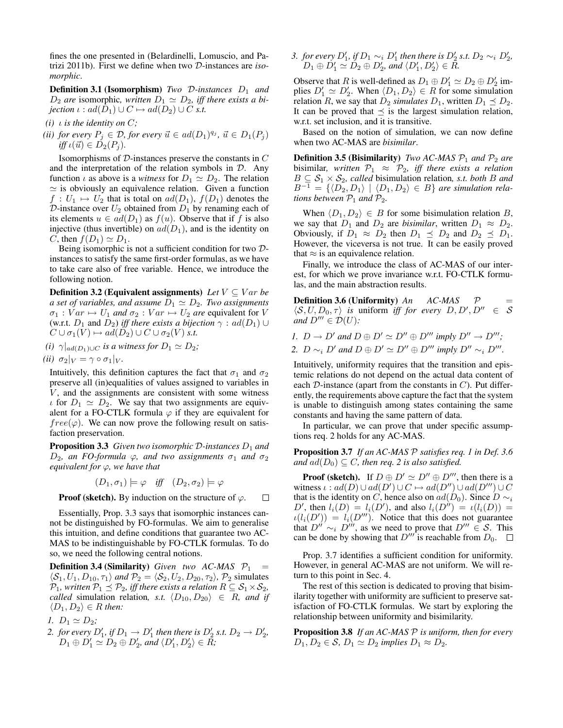fines the one presented in (Belardinelli, Lomuscio, and Patrizi 2011b). First we define when two D-instances are *isomorphic*.

**Definition 3.1 (Isomorphism)** *Two D-instances*  $D_1$  *and*  $D_2$  *are* isomorphic, written  $D_1 \simeq D_2$ , iff there exists a bi*jection*  $\iota : ad(D_1) \cup C \mapsto ad(D_2) \cup C$  *s.t.* 

- *(i)*  $\iota$  *is the identity on*  $C$ ;
- *(ii) for every*  $P_j \in \mathcal{D}$ *, for every*  $\vec{u} \in ad(D_1)^{q_j}$ *,*  $\vec{u} \in D_1(P_j)$  $iff \iota(\vec{u}) \in D_2(P_i)$ .

Isomorphisms of  $D$ -instances preserve the constants in  $C$ and the interpretation of the relation symbols in  $D$ . Any function  $\iota$  as above is a *witness* for  $D_1 \simeq D_2$ . The relation  $\simeq$  is obviously an equivalence relation. Given a function  $f: U_1 \mapsto U_2$  that is total on  $ad(D_1)$ ,  $f(D_1)$  denotes the D-instance over  $U_2$  obtained from  $D_1$  by renaming each of its elements  $u \in ad(D_1)$  as  $f(u)$ . Observe that if f is also injective (thus invertible) on  $ad(D_1)$ , and is the identity on C, then  $f(D_1) \simeq D_1$ .

Being isomorphic is not a sufficient condition for two Dinstances to satisfy the same first-order formulas, as we have to take care also of free variable. Hence, we introduce the following notion.

**Definition 3.2 (Equivalent assignments)** *Let*  $V \subseteq Var$  *be a set of variables, and assume*  $D_1 \simeq D_2$ *. Two assignments*  $\sigma_1 : Var \mapsto U_1$  *and*  $\sigma_2 : Var \mapsto U_2$  *are* equivalent for V (w.r.t.  $D_1$  and  $D_2$ ) *iff there exists a bijection*  $\gamma$  :  $ad(D_1) \cup$  $C \cup \sigma_1(V) \mapsto ad(D_2) \cup C \cup \sigma_2(V)$  *s.t.* 

(i) 
$$
\gamma|_{ad(D_1)\cup C}
$$
 is a witness for  $D_1 \simeq D_2$ ;

$$
(ii) \ \sigma_2|_V = \gamma \circ \sigma_1|_V.
$$

Intuitively, this definition captures the fact that  $\sigma_1$  and  $\sigma_2$ preserve all (in)equalities of values assigned to variables in  $V$ , and the assignments are consistent with some witness  $\iota$  for  $D_1 \simeq D_2$ . We say that two assignments are equivalent for a FO-CTLK formula  $\varphi$  if they are equivalent for  $free(\varphi)$ . We can now prove the following result on satisfaction preservation.

Proposition 3.3 *Given two isomorphic* D-instances  $D_1$  and  $D_2$ *, an FO-formula*  $\varphi$ *, and two assignments*  $\sigma_1$  *and*  $\sigma_2$ *equivalent for* ϕ*, we have that*

$$
(D_1, \sigma_1) \models \varphi \quad \text{iff} \quad (D_2, \sigma_2) \models \varphi
$$

**Proof (sketch).** By induction on the structure of  $\varphi$ .  $\Box$ 

Essentially, Prop. 3.3 says that isomorphic instances cannot be distinguished by FO-formulas. We aim to generalise this intuition, and define conditions that guarantee two AC-MAS to be indistinguishable by FO-CTLK formulas. To do so, we need the following central notions.

**Definition 3.4 (Similarity)** *Given two AC-MAS*  $P_1$  =  $\langle S_1, U_1, D_{10}, \tau_1 \rangle$  *and*  $\mathcal{P}_2 = \langle S_2, U_2, D_{20}, \tau_2 \rangle$ *,*  $\mathcal{P}_2$  simulates  $\mathcal{P}_1$ *, written*  $\mathcal{P}_1 \preceq \mathcal{P}_2$ *, iff there exists a relation*  $R \subseteq \mathcal{S}_1 \times \mathcal{S}_2$ *, called* simulation relation, *s.t.*  $\langle D_{10}, D_{20} \rangle \in R$ *, and if*  $\langle D_1, D_2 \rangle \in R$  *then:* 

*1.*  $D_1 \simeq D_2$ ;

2. *for every*  $D'_1$ *, if*  $D_1 \rightarrow D'_1$  *then there is*  $D'_2$  *s.t.*  $D_2 \rightarrow D'_2$ *,*  $D_1 \oplus D_1' \simeq D_2 \oplus D_2'$ , and  $\langle D_1', D_2' \rangle \in \overline{R}$ ;

3. *for every*  $D'_1$ *, if*  $D_1 \sim_i D'_1$  *then there is*  $D'_2$  *s.t.*  $D_2 \sim_i D'_2$ *,*  $D_1 \oplus D_1' \simeq D_2 \oplus D_2'$ , and  $\langle D_1', D_2' \rangle \in \overline{R}$ .

Observe that R is well-defined as  $D_1 \oplus D'_1 \simeq D_2 \oplus D'_2$  implies  $D'_1 \simeq D'_2$ . When  $\langle D_1, D_2 \rangle \in R$  for some simulation relation R, we say that  $D_2$  *simulates*  $D_1$ , written  $D_1 \preceq D_2$ . It can be proved that  $\preceq$  is the largest simulation relation, w.r.t. set inclusion, and it is transitive.

Based on the notion of simulation, we can now define when two AC-MAS are *bisimilar*.

**Definition 3.5 (Bisimilarity)** *Two AC-MAS*  $P_1$  *and*  $P_2$  *are* bisimilar, written  $\mathcal{P}_1 \approx \mathcal{P}_2$ , iff there exists a relation  $B \subseteq S_1 \times S_2$ , called bisimulation relation, *s.t. both* B and  $B^{-1} = \{ \langle D_2, D_1 \rangle \mid \langle D_1, D_2 \rangle \in B \}$  *are simulation relations between*  $P_1$  *and*  $P_2$ *.* 

When  $\langle D_1, D_2 \rangle \in B$  for some bisimulation relation B, we say that  $D_1$  and  $D_2$  are *bisimilar*, written  $D_1 \approx D_2$ . Obviously, if  $D_1 \approx D_2$  then  $D_1 \preceq D_2$  and  $D_2 \preceq D_1$ . However, the viceversa is not true. It can be easily proved that  $\approx$  is an equivalence relation.

Finally, we introduce the class of AC-MAS of our interest, for which we prove invariance w.r.t. FO-CTLK formulas, and the main abstraction results.

**Definition 3.6 (Uniformity)**  $An$   $AC-MAS$   $\mathcal{P}$  $\langle S, U, D_0, \tau \rangle$  is uniform *iff for every*  $D, D', D'' \in S$ *and*  $D''' \in \mathcal{D}(U)$ *:* 

*1.*  $D \rightarrow D'$  and  $D \oplus D' \simeq D'' \oplus D'''$  imply  $D'' \rightarrow D'''$ ;

*2.*  $D \sim_i D'$  *and*  $D \oplus D' \simeq D'' \oplus D'''$  *imply*  $D'' \sim_i D'''$ *.* 

Intuitively, uniformity requires that the transition and epistemic relations do not depend on the actual data content of each  $D$ -instance (apart from the constants in  $C$ ). Put differently, the requirements above capture the fact that the system is unable to distinguish among states containing the same constants and having the same pattern of data.

In particular, we can prove that under specific assumptions req. 2 holds for any AC-MAS.

Proposition 3.7 *If an AC-MAS* P *satisfies req. 1 in Def. 3.6 and*  $ad(D_0) \subseteq C$ *, then req. 2 is also satisfied.* 

**Proof (sketch).** If  $D \oplus D' \simeq D'' \oplus D'''$ , then there is a witness  $\iota : ad(D) \cup ad(D') \cup C \mapsto ad(D'') \cup ad(D''') \cup C$ that is the identity on C, hence also on  $ad(D_0)$ . Since  $D \sim_i$ D', then  $l_i(D) = l_i(D')$ , and also  $l_i(D'') = l(l_i(D))$  =  $\iota(l_i(D')) = l_i(D''')$ . Notice that this does not guarantee that  $D'' \sim_i D'''$ , as we need to prove that  $D''' \in S$ . This can be done by showing that  $D^{\prime\prime\prime}$  is reachable from  $D_0$ .  $\Box$ 

Prop. 3.7 identifies a sufficient condition for uniformity. However, in general AC-MAS are not uniform. We will return to this point in Sec. 4.

The rest of this section is dedicated to proving that bisimilarity together with uniformity are sufficient to preserve satisfaction of FO-CTLK formulas. We start by exploring the relationship between uniformity and bisimilarity.

Proposition 3.8 *If an AC-MAS* P *is uniform, then for every*  $D_1, D_2 \in \mathcal{S}, D_1 \simeq D_2$  *implies*  $D_1 \approx D_2$ *.*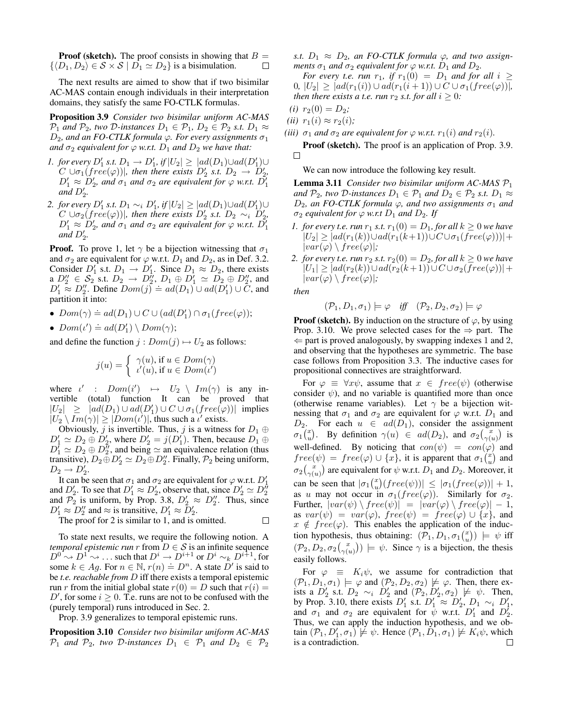**Proof (sketch).** The proof consists in showing that  $B =$  $\{\langle D_1, D_2 \rangle \in S \times S \mid D_1 \simeq D_2\}$  is a bisimulation.  $\Box$ 

The next results are aimed to show that if two bisimilar AC-MAS contain enough individuals in their interpretation domains, they satisfy the same FO-CTLK formulas.

Proposition 3.9 *Consider two bisimilar uniform AC-MAS*  $\mathcal{P}_1$  *and*  $\mathcal{P}_2$ *, two*  $\mathcal{D}$ *-instances*  $D_1 \in \mathcal{P}_1$ *,*  $D_2 \in \mathcal{P}_2$  *s.t.*  $D_1 \approx$  $D_2$ , and an FO-CTLK formula  $\varphi$ . For every assignments  $\sigma_1$ *and*  $\sigma_2$  *equivalent for*  $\varphi$  *w.r.t.*  $D_1$  *and*  $D_2$  *we have that:* 

- *1. for every*  $D'_1$  *s.t.*  $D_1 \rightarrow D'_1$ *, if*  $|U_2| \ge |ad(D_1) \cup ad(D'_1) \cup$  $C \cup \sigma_1(free(\varphi))$ , then there exists  $D'_2$  s.t.  $D_2 \rightarrow D'_2$ ,  $D'_1 \approx D'_2$ , and  $\sigma_1$  and  $\sigma_2$  are equivalent for  $\varphi$  w.r.t.  $D'_1$  $\overline{and} D'_2.$
- 2. *for every*  $D'_1$  *s.t.*  $D_1 \sim_i D'_1$ *, if*  $|U_2| \ge |ad(D_1) \cup ad(D'_1) \cup$  $C \cup \sigma_2(free(\varphi))$ , then there exists  $D'_2$  s.t.  $D_2 \sim_i D'_2$ ,  $D'_1 \approx D'_2$ , and  $\sigma_1$  and  $\sigma_2$  are equivalent for  $\varphi$  w.r.t.  $D'_1$  $\overline{and} D'_2$ .

**Proof.** To prove 1, let  $\gamma$  be a bijection witnessing that  $\sigma_1$ and  $\sigma_2$  are equivalent for  $\varphi$  w.r.t.  $D_1$  and  $D_2$ , as in Def. 3.2. Consider  $D_1'$  s.t.  $D_1 \rightarrow D_1'$ . Since  $D_1 \approx D_2$ , there exists a  $D_2'' \in S_2$  s.t.  $D_2 \rightarrow D_2''$ ,  $D_1 \oplus D_1' \simeq D_2 \oplus D_2''$ , and  $D_1' \approx D_2'$ . Define  $Dom(j) = ad(D_1) \cup ad(D'_1) \cup C$ , and  $D'_1 \approx D'_2$ . Define  $Dom(j) = ad(D_1) \cup ad(D'_1) \cup C$ , and partition it into:

- $Dom(\gamma) \doteq ad(D_1) \cup C \cup (ad(D'_1) \cap \sigma_1(free(\varphi));$
- $Dom(\iota') \doteq ad(D'_1) \setminus Dom(\gamma);$

and define the function  $j: Dom(j) \mapsto U_2$  as follows:

$$
j(u) = \begin{cases} \gamma(u), \text{if } u \in Dom(\gamma) \\ \iota'(u), \text{if } u \in Dom(\iota') \end{cases}
$$

where  $\iota'$  :  $Dom(i') \mapsto U_2 \setminus Im(\gamma)$  is any invertible (total) function It can be proved that  $|U_2| \ge |ad(D_1) \cup ad(D'_1) \cup C \cup \sigma_1(free(\varphi))|$  implies  $|U_2 \setminus Im(\gamma)| \ge |Dom(\iota')|$ , thus such a  $\iota'$  exists.

Obviously, j is invertible. Thus, j is a witness for  $D_1 \oplus$  $D_1' \simeq D_2 \oplus D_2'$ , where  $D_2' = j(D_1')$ . Then, because  $D_1 \oplus j(D_2')$  $D_1^{\tau} \simeq D_2 \oplus D_2^{\tau}$ , and being  $\simeq$  an equivalence relation (thus transitive),  $D_2 \oplus D_2' \simeq D_2 \oplus D_2''$ . Finally,  $\mathcal{P}_2$  being uniform,  $D_2 \rightarrow D'_2.$ 

It can be seen that  $\sigma_1$  and  $\sigma_2$  are equivalent for  $\varphi$  w.r.t.  $D_1'$ and  $D'_2$ . To see that  $D'_1 \approx D'_2$ , observe that, since  $D'_2 \simeq D''_2$ and  $\mathcal{P}_2$  is uniform, by Prop. 3.8,  $D'_2 \approx D''_2$ . Thus, since  $D'_1 \approx D''_2$  and  $\approx$  is transitive,  $D'_1 \approx D'_2$ .

The proof for 2 is similar to 1, and is omitted.  $\Box$ 

To state next results, we require the following notion. A *temporal epistemic run* r from  $D \in S$  is an infinite sequence  $D^0 \rightsquigarrow D^1 \rightsquigarrow$  ... such that  $D^i \rightarrow D^{i+1}$  or  $D^i \sim_k D^{i+1}$ , for some  $k \in Ag$ . For  $n \in \mathbb{N}$ ,  $r(n) = D^n$ . A state D' is said to be *t.e. reachable from* D iff there exists a temporal epistemic run r from the initial global state  $r(0) = D$  such that  $r(i) =$ D', for some  $i \geq 0$ . T.e. runs are not to be confused with the (purely temporal) runs introduced in Sec. 2.

Prop. 3.9 generalizes to temporal epistemic runs.

Proposition 3.10 *Consider two bisimilar uniform AC-MAS*  $\mathcal{P}_1$  *and*  $\mathcal{P}_2$ *, two*  $\mathcal{D}$ *-instances*  $D_1 \in \mathcal{P}_1$  *and*  $D_2 \in \mathcal{P}_2$ 

*s.t.*  $D_1 \approx D_2$ , an FO-CTLK formula  $\varphi$ , and two assign*ments*  $\sigma_1$  *and*  $\sigma_2$  *equivalent for*  $\varphi$  *w.r.t.*  $D_1$  *and*  $D_2$ *.* 

*For every t.e. run*  $r_1$ , *if*  $r_1(0) = D_1$  *and for all*  $i \geq$ 0*,*  $|U_2| \ge |ad(r_1(i)) \cup ad(r_1(i+1)) \cup C \cup \sigma_1(free(\varphi))|$ , *then there exists a t.e. run*  $r_2$  *s.t. for all*  $i \geq 0$ *:* 

(*i*) 
$$
r_2(0) = D_2;
$$

$$
(ii) r_1(i) \approx r_2(i);
$$

*(iii)*  $\sigma_1$  *and*  $\sigma_2$  *are equivalent for*  $\varphi$  *w.r.t.*  $r_1(i)$  *and*  $r_2(i)$ *.* 

Proof (sketch). The proof is an application of Prop. 3.9.  $\Box$ 

We can now introduce the following key result.

Lemma 3.11 *Consider two bisimilar uniform AC-MAS* P<sup>1</sup> *and*  $\mathcal{P}_2$ *, two*  $\mathcal{D}$ *-instances*  $D_1 \in \mathcal{P}_1$  *and*  $D_2 \in \mathcal{P}_2$  *s.t.*  $D_1 \approx$  $D_2$ *, an FO-CTLK formula*  $\varphi$ *, and two assignments*  $\sigma_1$  *and*  $\sigma_2$  *equivalent for*  $\varphi$  *w.r.t*  $D_1$  *and*  $D_2$ *. If* 

- *1. for every t.e. run*  $r_1$  *s.t.*  $r_1(0) = D_1$ *, for all*  $k \ge 0$  *we have*  $|U_2| \geq |ad(r_1(k)) \cup ad(r_1(k+1)) \cup C \cup \sigma_1(free(\varphi)))| +$  $|var(\varphi) \setminus free(\varphi)|;$
- *2. for every t.e. run*  $r_2$  *s.t.*  $r_2(0) = D_2$ *, for all*  $k \ge 0$  *we have*  $|U_1| \geq |ad(r_2(k)) \cup ad(r_2(k+1)) \cup C \cup \sigma_2(free(\varphi))| +$  $|var(\varphi) \setminus free(\varphi)|;$

*then*

$$
(\mathcal{P}_1, D_1, \sigma_1) \models \varphi \quad \text{iff} \quad (\mathcal{P}_2, D_2, \sigma_2) \models \varphi
$$

**Proof (sketch).** By induction on the structure of  $\varphi$ , by using Prop. 3.10. We prove selected cases for the  $\Rightarrow$  part. The  $\Leftarrow$  part is proved analogously, by swapping indexes 1 and 2, and observing that the hypotheses are symmetric. The base case follows from Proposition 3.3. The inductive cases for propositional connectives are straightforward.

For  $\varphi \equiv \forall x \psi$ , assume that  $x \in free(\psi)$  (otherwise consider  $\psi$ ), and no variable is quantified more than once (otherwise rename variables). Let  $\gamma$  be a bijection witnessing that  $\sigma_1$  and  $\sigma_2$  are equivalent for  $\varphi$  w.r.t.  $D_1$  and  $D_2$ . For each  $u \in ad(D_1)$ , consider the assignment  $\sigma_1\binom{x}{u}$ . By definition  $\gamma(u) \in ad(D_2)$ , and  $\sigma_2\binom{x}{\gamma(u)}$  is well-defined. By noticing that  $con(\psi) = con(\varphi)$  and  $free(\psi) = free(\varphi) \cup \{x\}$ , it is apparent that  $\sigma_1\begin{pmatrix} x \\ u \end{pmatrix}$  and  $\sigma_2\binom{x}{\gamma(u)}$  are equivalent for  $\psi$  w.r.t.  $D_1$  and  $D_2$ . Moreover, it can be seen that  $|\sigma_1{x \choose w}(free(\psi))| \le |\sigma_1(free(\varphi))| + 1$ , as u may not occur in  $\sigma_1(free(\varphi))$ . Similarly for  $\sigma_2$ . Further,  $|var(\psi) \setminus free(\psi)| = |var(\varphi) \setminus free(\varphi)| - 1$ , as  $var(\psi) = var(\varphi)$ ,  $free(\psi) = free(\varphi) \cup \{x\}$ , and  $x \notin free(\varphi)$ . This enables the application of the induction hypothesis, thus obtaining:  $(\overline{P}_1, D_1, \sigma_1 {x \choose u}) \models \psi$  iff  $(\mathcal{P}_2, D_2, \sigma_2 {x \choose \gamma(u)}) \models \psi$ . Since  $\gamma$  is a bijection, the thesis easily follows.

For  $\varphi \equiv K_i \psi$ , we assume for contradiction that  $(\mathcal{P}_1, D_1, \sigma_1) \models \varphi$  and  $(\mathcal{P}_2, D_2, \sigma_2) \not\models \varphi$ . Then, there exists a  $D'_2$  s.t.  $D_2 \sim_i D'_2$  and  $(\mathcal{P}_2, D'_2, \sigma_2) \not\models \psi$ . Then, by Prop. 3.10, there exists  $D'_1$  s.t.  $D'_1 \approx D'_2$ ,  $D_1 \sim_i D'_1$ , and  $\sigma_1$  and  $\sigma_2$  are equivalent for  $\psi$  w.r.t.  $D'_1$  and  $D'_2$ . Thus, we can apply the induction hypothesis, and we obtain  $(\mathcal{P}_1, D'_1, \sigma_1) \neq \psi$ . Hence  $(\mathcal{P}_1, D_1, \sigma_1) \neq K_i \psi$ , which is a contradiction.П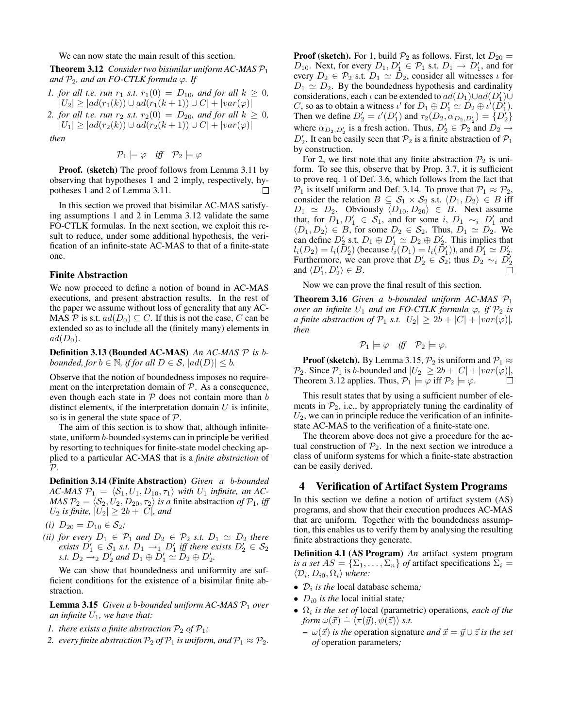We can now state the main result of this section.

Theorem 3.12 *Consider two bisimilar uniform AC-MAS* P<sup>1</sup> *and*  $P_2$ *, and an FO-CTLK formula*  $\varphi$ *. If* 

- *1. for all t.e. run*  $r_1$  *s.t.*  $r_1(0) = D_{10}$ *, and for all*  $k \ge 0$ *,*  $|U_2| \ge |ad(r_1(k)) \cup ad(r_1(k+1)) \cup C| + |var(\varphi)|$
- *2. for all t.e. run*  $r_2$  *s.t.*  $r_2(0) = D_{20}$ *, and for all*  $k \ge 0$ *,*  $|U_1| \ge |ad(r_2(k)) \cup ad(r_2(k+1)) \cup C| + |var(\varphi)|$

*then*

$$
\mathcal{P}_1 \models \varphi \quad \text{iff} \quad \mathcal{P}_2 \models \varphi
$$

Proof. (sketch) The proof follows from Lemma 3.11 by observing that hypotheses 1 and 2 imply, respectively, hypotheses 1 and 2 of Lemma 3.11. П

In this section we proved that bisimilar AC-MAS satisfying assumptions 1 and 2 in Lemma 3.12 validate the same FO-CTLK formulas. In the next section, we exploit this result to reduce, under some additional hypothesis, the verification of an infinite-state AC-MAS to that of a finite-state one.

#### Finite Abstraction

We now proceed to define a notion of bound in AC-MAS executions, and present abstraction results. In the rest of the paper we assume without loss of generality that any AC-MAS P is s.t.  $ad(D_0) \subseteq C$ . If this is not the case, C can be extended so as to include all the (finitely many) elements in  $ad(D_0)$ .

Definition 3.13 (Bounded AC-MAS) *An AC-MAS* P *is* b*bounded, for*  $b \in \mathbb{N}$ *, if for all*  $D \in \mathcal{S}$ *,*  $|ad(D)| \leq b$ *.* 

Observe that the notion of boundedness imposes no requirement on the interpretation domain of  $P$ . As a consequence, even though each state in  $P$  does not contain more than  $b$ distinct elements, if the interpretation domain  $U$  is infinite, so is in general the state space of P.

The aim of this section is to show that, although infinitestate, uniform b-bounded systems can in principle be verified by resorting to techniques for finite-state model checking applied to a particular AC-MAS that is a *finite abstraction* of  $\mathcal{P}$ .

Definition 3.14 (Finite Abstraction) *Given a* b*-bounded*  $AC-MAS$   $\mathcal{P}_1 = \langle \mathcal{S}_1, U_1, D_{10}, \tau_1 \rangle$  *with*  $U_1$  *infinite, an AC-MAS*  $\mathcal{P}_2 = \langle \mathcal{S}_2, U_2, D_{20}, \tau_2 \rangle$  *is a* finite abstraction *of*  $\mathcal{P}_1$ *, iff*  $U_2$  *is finite,*  $|U_2| \ge 2b + |C|$ *, and* 

- *(i)*  $D_{20} = D_{10} \in \mathcal{S}_2$ *;*
- *(ii) for every*  $D_1 \in \mathcal{P}_1$  *and*  $D_2 \in \mathcal{P}_2$  *s.t.*  $D_1 \simeq D_2$  *there exists*  $D'_1 \in \mathcal{S}_1$  *s.t.*  $D_1 \rightarrow_1 D'_1$  *iff there exists*  $D'_2 \in \mathcal{S}_2$ *s.t.*  $D_2 \to 2 D'_2$  and  $D_1 \oplus D'_1 \simeq D_2 \oplus D'_2$ .

We can show that boundedness and uniformity are sufficient conditions for the existence of a bisimilar finite abstraction.

Lemma 3.15 *Given a b-bounded uniform AC-MAS*  $P_1$  *over an infinite*  $U_1$ *, we have that:* 

- *1. there exists a finite abstraction*  $P_2$  *of*  $P_1$ *;*
- *2. every finite abstraction*  $P_2$  *of*  $P_1$  *is uniform, and*  $P_1 \approx P_2$ *.*

**Proof (sketch).** For 1, build  $\mathcal{P}_2$  as follows. First, let  $D_{20} =$  $D_{10}$ . Next, for every  $D_1, D'_1 \in \mathcal{P}_1$  s.t.  $D_1 \to D'_1$ , and for every  $D_2 \in \mathcal{P}_2$  s.t.  $D_1 \simeq D_2$ , consider all witnesses  $\iota$  for  $D_1 \simeq D_2$ . By the boundedness hypothesis and cardinality considerations, each  $\iota$  can be extended to  $ad(D_1) \cup ad(D'_1) \cup$ C, so as to obtain a witness  $\iota'$  for  $D_1 \oplus D'_1 \simeq D_2 \oplus \iota'(\tilde{D'_1})$ . Then we define  $D'_2 = \iota'(D'_1)$  and  $\tau_2(D_2, \alpha_{D_2, D'_2}) = \{D'_2\}$ where  $\alpha_{D_2, D_2}$  is a fresh action. Thus,  $D_2' \in \mathcal{P}_2$  and  $D_2 \to$  $D'_2$ . It can be easily seen that  $\mathcal{P}_2$  is a finite abstraction of  $\mathcal{P}_1$ by construction.

For 2, we first note that any finite abstraction  $\mathcal{P}_2$  is uniform. To see this, observe that by Prop. 3.7, it is sufficient to prove req. 1 of Def. 3.6, which follows from the fact that  $P_1$  is itself uniform and Def. 3.14. To prove that  $P_1 \approx P_2$ , consider the relation  $B \subseteq S_1 \times S_2$  s.t.  $\langle D_1, D_2 \rangle \in B$  iff  $D_1 \simeq D_2$ . Obviously  $\langle D_{10}, D_{20} \rangle \in B$ . Next assume that, for  $D_1, D'_1 \in S_1$ , and for some i,  $D_1 \sim_i D'_1$  and  $\langle D_1, D_2 \rangle \in B$ , for some  $D_2 \in S_2$ . Thus,  $D_1 \simeq D_2$ . We can define  $D'_2$  s.t.  $D_1 \oplus D'_1 \simeq D_2 \oplus D'_2$ . This implies that  $l_i(D_2) = l_i(\bar{D}'_2)$  (because  $l_i(D_1) = l_i(\bar{D}'_1)$ ), and  $\bar{D}'_1 \simeq D'_2$ . Furthermore, we can prove that  $D'_2 \in S_2$ ; thus  $D_2 \sim_i D'_2$ and  $\langle D'_1, D'_2 \rangle \in B$ .

Now we can prove the final result of this section.

Theorem 3.16 *Given a* b*-bounded uniform AC-MAS* P<sup>1</sup> *over an infinite*  $U_1$  *and an FO-CTLK formula*  $\varphi$ *, if*  $\mathcal{P}_2$  *is a finite abstraction of*  $\mathcal{P}_1$  *s.t.*  $|U_2| \geq 2b + |C| + |var(\varphi)|$ , *then*

$$
\mathcal{P}_1 \models \varphi \quad \text{iff} \quad \mathcal{P}_2 \models \varphi.
$$

**Proof (sketch).** By Lemma 3.15,  $\mathcal{P}_2$  is uniform and  $\mathcal{P}_1 \approx$  $\mathcal{P}_2$ . Since  $\mathcal{P}_1$  is b-bounded and  $|U_2| \geq 2b + |C| + |var(\varphi)|$ , Theorem 3.12 applies. Thus,  $\mathcal{P}_1 \models \varphi$  iff  $\mathcal{P}_2 \models \varphi$ . П

This result states that by using a sufficient number of elements in  $P_2$ , i.e., by appropriately tuning the cardinality of  $U_2$ , we can in principle reduce the verification of an infinitestate AC-MAS to the verification of a finite-state one.

The theorem above does not give a procedure for the actual construction of  $\mathcal{P}_2$ . In the next section we introduce a class of uniform systems for which a finite-state abstraction can be easily derived.

#### 4 Verification of Artifact System Programs

In this section we define a notion of artifact system (AS) programs, and show that their execution produces AC-MAS that are uniform. Together with the boundedness assumption, this enables us to verify them by analysing the resulting finite abstractions they generate.

Definition 4.1 (AS Program) *An* artifact system program *is a set*  $AS = {\Sigma_1, \ldots, \Sigma_n}$  *of* artifact specifications  $\Sigma_i$  =  $\langle \mathcal{D}_i, D_{i0}, \Omega_i \rangle$  where:

- $\mathcal{D}_i$  *is the* local database schema;
- $D_{i0}$  *is the* local initial state;
- $\Omega_i$  *is the set of* local (parametric) operations, each of the  $f \circ f \circ f$  is the set *of* focal (parallic)<br>form  $\omega(\vec{x}) \doteq \langle \pi(\vec{y}), \psi(\vec{z}) \rangle$  *s.t.* 
	- $\omega(\vec{x})$  *is the* operation signature *and*  $\vec{x} = \vec{y} \cup \vec{z}$  *is the set of* operation parameters*;*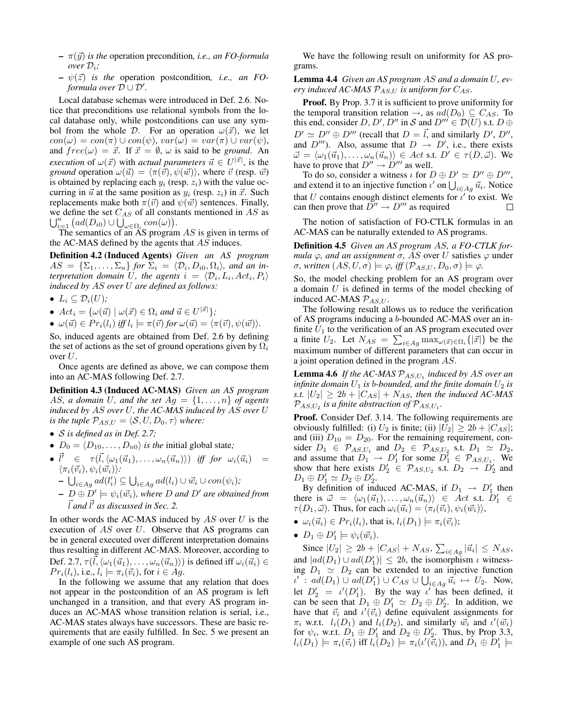- $\pi(\vec{y})$  *is the* operation precondition, *i.e., an FO-formula over* Di*;*
- $\psi(\vec{z})$  *is the* operation postcondition, *i.e.*, *an FOformula over*  $\overline{\mathcal{D}} \cup \mathcal{D}'$ .

Local database schemas were introduced in Def. 2.6. Notice that preconditions use relational symbols from the local database only, while postconditions can use any symbol from the whole D. For an operation  $\omega(\vec{x})$ , we let  $con(\omega) = con(\pi) \cup con(\psi), var(\omega) = var(\pi) \cup var(\psi),$ and  $free(\omega) = \vec{x}$ . If  $\vec{x} = \emptyset$ ,  $\omega$  is said to be *ground*. An *execution* of  $\omega(\vec{x})$  with *actual parameters*  $\vec{u} \in U^{|\vec{x}|}$ , is the *ground* operation  $\omega(\vec{u}) = \langle \pi(\vec{v}), \psi(\vec{w}) \rangle$ , where  $\vec{v}$  (resp.  $\vec{w}$ ) is obtained by replacing each  $y_i$  (resp.  $z_i$ ) with the value occurring in  $\vec{u}$  at the same position as  $y_i$  (resp.  $z_i$ ) in  $\vec{x}$ . Such replacements make both  $\pi(\vec{v})$  and  $\psi(\vec{w})$  sentences. Finally, we define the set  $C_{AS}$  of all constants mentioned in AS as  $\bigcup_{i=1}^n \big( ad(D_{i0}) \cup \bigcup_{\omega \in \Omega_i} \operatorname{con}(\omega) \big).$ 

The semantics of an  $AS$  program  $AS$  is given in terms of the AC-MAS defined by the agents that AS induces.

Definition 4.2 (Induced Agents) *Given an AS program*  $AS = {\{\Sigma_1,\ldots,\Sigma_n\}}$  for  $\Sigma_i = {\langle \mathcal{D}_i, D_{i0}, \Omega_i \rangle}$ , and an in*terpretation domain* U, the agents  $i = \langle \mathcal{D}_i, L_i, Act_i, P_i \rangle$ *induced by* AS *over* U *are defined as follows:*

•  $L_i \subseteq \mathcal{D}_i(U)$ ;

- $Act_i = {\omega(\vec{u}) \mid \omega(\vec{x}) \in \Omega_i \text{ and } \vec{u} \in U^{|\vec{x}|}};$
- $\omega(\vec{u}) \in Pr_i(l_i)$  *iff*  $l_i \models \pi(\vec{v})$  *for*  $\omega(\vec{u}) = \langle \pi(\vec{v}), \psi(\vec{w}) \rangle$ *.*

So, induced agents are obtained from Def. 2.6 by defining the set of actions as the set of ground operations given by  $\Omega_i$ over U.

Once agents are defined as above, we can compose them into an AC-MAS following Def. 2.7.

Definition 4.3 (Induced AC-MAS) *Given an AS program* AS, a domain U, and the set  $Aq = \{1, \ldots, n\}$  of agents *induced by* AS *over* U*, the AC-MAS induced by* AS *over* U *is the tuple*  $P_{AS,U} = \langle S, U, D_0, \tau \rangle$  *where:* 

- S *is defined as in Def. 2.7;*
- $D_0 = \langle D_{10}, \ldots, D_{n0} \rangle$  *is the initial global state;*
- $\bullet \vec{l}' \in \tau(\vec{l}, \langle \omega_1(\vec{u}_1), \ldots, \omega_n(\vec{u}_n) \rangle) \text{ iff for } \omega_i(\vec{u}_i) =$  $\langle \pi_i(\vec{v}_i), \psi_i(\vec{w}_i)\rangle$ :
	- $\bigcup_{i \in Ag} ad(l'_i) \subseteq \bigcup_{i \in Ag} ad(l_i) \cup \vec{w_i} \cup con(\psi_i);$
	- $-I\rightarrow D \oplus D' \models \psi_i(\vec{w_i})$ , where D and D' are obtained from  $\vec{l}$  and  $\vec{l}'$  as discussed in Sec. 2.

In other words the AC-MAS induced by  $AS$  over  $U$  is the execution of  $AS$  over  $U$ . Observe that AS programs can be in general executed over different interpretation domains thus resulting in different AC-MAS. Moreover, according to Def. 2.7,  $\tau(\vec{l}, \langle \omega_1(\vec{u}_1), \ldots, \omega_n(\vec{u}_n) \rangle)$  is defined iff  $\omega_i(\vec{u}_i) \in$  $Pr_i(l_i)$ , i.e.,  $l_i \models \pi_i(\vec{v}_i)$ , for  $i \in Ag$ .

In the following we assume that any relation that does not appear in the postcondition of an AS program is left unchanged in a transition, and that every AS program induces an AC-MAS whose transition relation is serial, i.e., AC-MAS states always have successors. These are basic requirements that are easily fulfilled. In Sec. 5 we present an example of one such AS program.

We have the following result on uniformity for AS programs.

Lemma 4.4 *Given an AS program* AS *and a domain* U*, every induced AC-MAS*  $\mathcal{P}_{ASU}$  *is uniform for*  $C_{AS}$ .

Proof. By Prop. 3.7 it is sufficient to prove uniformity for the temporal transition relation  $\rightarrow$ , as  $ad(D_0) \subseteq C_{AS}$ . To this end, consider  $D, D', D''$  in S and  $D''' \in \mathcal{D}(U)$  s.t.  $D \oplus$  $D' \simeq D'' \oplus D'''$  (recall that  $D = \vec{l}$ , and similarly  $D', D''$ , and  $D'''$ ). Also, assume that  $D \rightarrow D'$ , i.e., there exists  $\vec{\omega} = \langle \omega_1(\vec{u}_1), \dots, \omega_n(\vec{u}_n) \rangle \in Act \text{ s.t. } D' \in \tau(D, \vec{\omega}).$  We have to prove that  $D'' \to D'''$  as well.

To do so, consider a witness  $\iota$  for  $D \oplus D' \simeq D'' \oplus D'''$ , and extend it to an injective function  $\iota'$  on  $\bigcup_{i \in Ag} \vec{u}_i$ . Notice that U contains enough distinct elements for  $\iota'$  to exist. We can then prove that  $\overline{D}'' \to D'''$  as required  $\Box$ 

The notion of satisfaction of FO-CTLK formulas in an AC-MAS can be naturally extended to AS programs.

Definition 4.5 *Given an AS program* AS*, a FO-CTLK formula*  $\varphi$ *, and an assignment*  $\sigma$ *, AS* over *U* satisfies  $\varphi$  under  $\sigma$ *, written*  $(AS, U, \sigma) \models \varphi$ *, iff*  $(\mathcal{P}_{AS,U}, D_0, \sigma) \models \varphi$ *.* 

So, the model checking problem for an AS program over a domain  $U$  is defined in terms of the model checking of induced AC-MAS  $\mathcal{P}_{AS,U}$ .

The following result allows us to reduce the verification of AS programs inducing a b-bounded AC-MAS over an infinite  $U_1$  to the verification of an AS program executed over a finite  $U_2$ . Let  $N_{AS} = \sum_{i \in Ag} \max_{\omega(\vec{x}) \in \Omega_i} \{|\vec{x}|\}$  be the maximum number of different parameters that can occur in a joint operation defined in the program AS.

**Lemma 4.6** If the AC-MAS  $\mathcal{P}_{AS,U_1}$  induced by AS over an *infinite domain*  $U_1$  *is b-bounded, and the finite domain*  $U_2$  *is s.t.*  $|U_2| \geq 2b + |C_{AS}| + N_{AS}$ , then the induced AC-MAS  $\mathcal{P}_{AS,U_2}$  is a finite abstraction of  $\mathcal{P}_{AS,U_1}$ .

Proof. Consider Def. 3.14. The following requirements are obviously fulfilled: (i)  $U_2$  is finite; (ii)  $|U_2| \geq 2b + |C_{AS}|$ ; and (iii)  $D_{10} = D_{20}$ . For the remaining requirement, consider  $D_1 \in \mathcal{P}_{AS,U_1}$  and  $D_2 \in \mathcal{P}_{AS,U_2}$  s.t.  $D_1 \simeq D_2$ , and assume that  $D_1 \rightarrow D'_1$  for some  $D_1^{\tau} \in \mathcal{P}_{AS,U_1}$ . We show that here exists  $D'_2 \in \mathcal{P}_{AS,U_2}$  s.t.  $D_2 \rightarrow D'_2$  and  $D_1 \oplus D'_1 \simeq D_2 \oplus D'_2.$ 

By definition of induced AC-MAS, if  $D_1 \rightarrow D'_1$  then there is  $\vec{\omega} = \langle \omega_1(\vec{u}_1), \ldots, \omega_n(\vec{u}_n) \rangle \in Act$  s.t.  $D'_1 \in$  $\tau(D_1, \vec{\omega})$ . Thus, for each  $\omega_i(\vec{u}_i) = \langle \pi_i(\vec{v}_i), \psi_i(\vec{w}_i) \rangle$ ,

- $\omega_i(\vec{u}_i) \in Pr_i(l_i)$ , that is,  $l_i(D_1) \models \pi_i(\vec{v}_i);$
- $D_1 \oplus D'_1 \models \psi_i(\vec{w_i}).$

Since  $|U_2| \ge 2b + |C_{AS}| + N_{AS}$ ,  $\sum_{i \in Ag} |\vec{u}_i| \le N_{AS}$ , and  $|ad(D_1) \cup ad(D'_1)| \leq 2b$ , the isomorphism  $\iota$  witnessing  $D_1 \simeq D_2$  can be extended to an injective function  $\iota'$ :  $ad(D_1) \cup ad(D'_1) \cup C_{AS} \cup \bigcup_{i \in Ag} \vec{u_i} \mapsto U_2$ . Now, let  $D'_2 = \iota'(D'_1)$ . By the way  $\iota'$  has been defined, it can be seen that  $D_1 \oplus D'_1 \simeq D_2 \oplus D'_2$ . In addition, we have that  $\vec{v}_i$  and  $\iota'(\vec{v}_i)$  define equivalent assignments for  $\pi_i$  w.r.t.  $l_i(D_1)$  and  $l_i(D_2)$ , and similarly  $\vec{w}_i$  and  $\iota'(\vec{w}_i)$ for  $\psi_i$ , w.r.t.  $D_1 \oplus D_1'$  and  $D_2 \oplus D_2'$ . Thus, by Prop 3.3,  $l_i(D_1) \models \pi_i(\vec{v}_i)$  iff  $l_i(D_2) \models \pi_i(\iota'(\vec{v}_i))$ , and  $D_1 \oplus D_1' \models$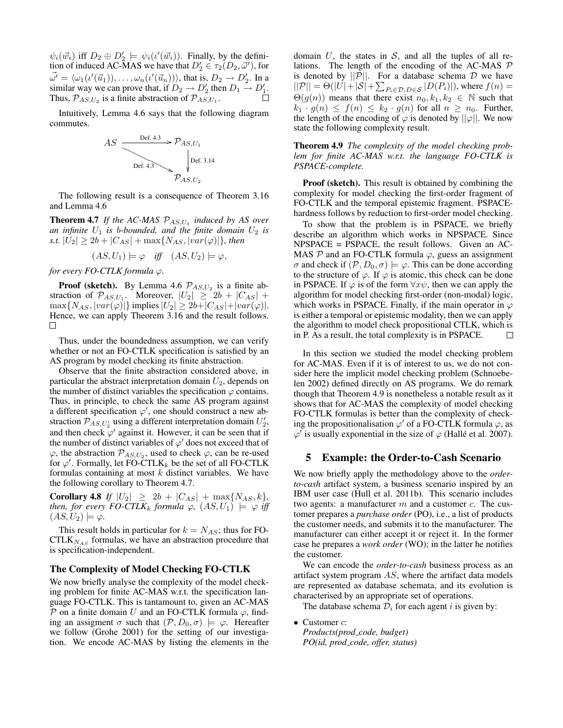$\psi_i(\vec{w}_i)$  iff  $D_2 \oplus D'_2 \models \psi_i(\iota'(\vec{w}_i))$ . Finally, by the definition of induced AC-MAS we have that  $D'_2 \in \tau_2(D_2, \vec{\omega}')$ , for  $\vec{\omega'} = \langle \omega_1(\iota'(\vec{u}_1)), \ldots, \omega_n(\iota'(\vec{u}_n)) \rangle$ , that is,  $D_2 \to D_2'$ . In a similar way we can prove that, if  $D_2 \rightarrow D'_2$  then  $D_1 \rightarrow D'_1$ . Thus,  $\mathcal{P}_{AS,U_2}$  is a finite abstraction of  $\mathcal{P}_{AS,U_1}$ .

Intuitively, Lemma 4.6 says that the following diagram commutes.



The following result is a consequence of Theorem 3.16 and Lemma 4.6

**Theorem 4.7** If the AC-MAS  $\mathcal{P}_{AS,U_1}$  induced by AS over an infinite  $U_1$  is b-bounded, and the finite domain  $U_2$  is *s.t.*  $|U_2| \ge 2b + |C_{AS}| + \max\{N_{AS}, |var(\varphi)|\}$ *, then* 

$$
(AS, U_1) \models \varphi \quad \text{iff} \quad (AS, U_2) \models \varphi,
$$

*for every FO-CTLK formula*  $\varphi$ *.* 

**Proof (sketch).** By Lemma 4.6  $\mathcal{P}_{AS,U_2}$  is a finite abstraction of  $\mathcal{P}_{AS,U_1}$ . Moreover,  $|U_2| \geq 2b + |C_{AS}| +$  $\max\{N_{AS}, |var(\varphi)|\}$  implies  $|U_2| \geq 2b + |C_{AS}| + |var(\varphi)|$ . Hence, we can apply Theorem 3.16 and the result follows. □

Thus, under the boundedness assumption, we can verify whether or not an FO-CTLK specification is satisfied by an AS program by model checking its finite abstraction.

Observe that the finite abstraction considered above, in particular the abstract interpretation domain  $U_2$ , depends on the number of distinct variables the specification  $\varphi$  contains. Thus, in principle, to check the same AS program against a different specification  $\varphi'$ , one should construct a new abstraction  $\mathcal{P}_{AS,U_2}$  using a different interpretation domain  $U_2'$ , and then check  $\varphi'$  against it. However, it can be seen that if the number of distinct variables of  $\varphi'$  does not exceed that of  $\varphi$ , the abstraction  $\mathcal{P}_{AS,U_2}$ , used to check  $\varphi$ , can be re-used for  $\varphi'$ . Formally, let FO-CTLK<sub>k</sub> be the set of all FO-CTLK formulas containing at most  $k$  distinct variables. We have the following corollary to Theorem 4.7.

**Corollary 4.8** *If*  $|U_2| \geq 2b + |C_{AS}| + \max\{N_{AS}, k\}$ , *then, for every FO-CTLK<sub>k</sub> formula*  $\varphi$ ,  $(AS, U_1) \models \varphi$  *iff*  $(AS, U_2) \models \varphi$ .

This result holds in particular for  $k = N_{AS}$ ; thus for FO- $CTLK_{NAS}$  formulas, we have an abstraction procedure that is specification-independent.

### The Complexity of Model Checking FO-CTLK

We now briefly analyse the complexity of the model checking problem for finite AC-MAS w.r.t. the specification language FO-CTLK. This is tantamount to, given an AC-MAS P on a finite domain U and an FO-CTLK formula  $\varphi$ , finding an assigment  $\sigma$  such that  $(\mathcal{P}, D_0, \sigma) \models \varphi$ . Hereafter we follow (Grohe 2001) for the setting of our investigation. We encode AC-MAS by listing the elements in the domain  $U$ , the states in  $S$ , and all the tuples of all relations. The length of the encoding of the AC-MAS  $P$ is denoted by  $||P||$ . For a database schema D we have  $||P|| = \Theta(|U| + |\mathcal{S}| + \sum_{P_i \in \mathcal{D}, D \in \mathcal{S}} |D(P_i)|)$ , where  $f(n) =$  $\Theta(g(n))$  means that there exist  $n_0, k_1, k_2 \in \mathbb{N}$  such that  $k_1 \cdot g(n) \leq f(n) \leq k_2 \cdot g(n)$  for all  $n \geq n_0$ . Further, the length of the encoding of  $\varphi$  is denoted by  $||\varphi||$ . We now state the following complexity result.

Theorem 4.9 *The complexity of the model checking problem for finite AC-MAS w.r.t. the language FO-CTLK is PSPACE-complete.*

Proof (sketch). This result is obtained by combining the complexity for model checking the first-order fragment of FO-CTLK and the temporal epistemic fragment. PSPACEhardness follows by reduction to first-order model checking.

To show that the problem is in PSPACE, we briefly describe an algorithm which works in NPSPACE. Since NPSPACE = PSPACE, the result follows. Given an AC-MAS  $\mathcal P$  and an FO-CTLK formula  $\varphi$ , guess an assignment  $\sigma$  and check if  $(\mathcal{P}, D_0, \sigma) \models \varphi$ . This can be done according to the structure of  $\varphi$ . If  $\varphi$  is atomic, this check can be done in PSPACE. If  $\varphi$  is of the form  $\forall x \psi$ , then we can apply the algorithm for model checking first-order (non-modal) logic, which works in PSPACE. Finally, if the main operator in  $\varphi$ is either a temporal or epistemic modality, then we can apply the algorithm to model check propositional CTLK, which is in P. As a result, the total complexity is in PSPACE.  $\Box$ 

In this section we studied the model checking problem for AC-MAS. Even if it is of interest to us, we do not consider here the implicit model checking problem (Schnoebelen 2002) defined directly on AS programs. We do remark though that Theorem 4.9 is nonetheless a notable result as it shows that for AC-MAS the complexity of model checking FO-CTLK formulas is better than the complexity of checking the propositionalisation  $\varphi'$  of a FO-CTLK formula  $\varphi$ , as  $\varphi'$  is usually exponential in the size of  $\varphi$  (Hallé et al. 2007).

## 5 Example: the Order-to-Cash Scenario

We now briefly apply the methodology above to the *orderto-cash* artifact system, a business scenario inspired by an IBM user case (Hull et al. 2011b). This scenario includes two agents: a manufacturer  $m$  and a customer  $c$ . The customer prepares a *purchase order* (PO), i.e., a list of products the customer needs, and submits it to the manufacturer. The manufacturer can either accept it or reject it. In the former case he prepares a *work order* (WO); in the latter he notifies the customer.

We can encode the *order-to-cash* business process as an artifact system program AS, where the artifact data models are represented as database schemata, and its evolution is characterised by an appropriate set of operations.

The database schema  $\mathcal{D}_i$  for each agent i is given by:

• Customer  $c$ : *Products(prod code, budget) PO(id, prod code, offer, status)*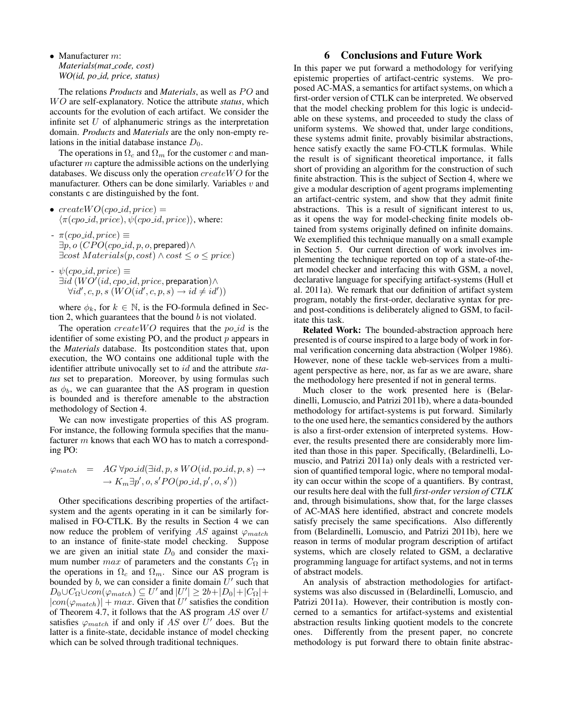• Manufacturer m: *Materials(mat code, cost) WO(id, po id, price, status)*

The relations *Products* and *Materials*, as well as PO and WO are self-explanatory. Notice the attribute *status*, which accounts for the evolution of each artifact. We consider the infinite set  $U$  of alphanumeric strings as the interpretation domain. *Products* and *Materials* are the only non-empty relations in the initial database instance  $D_0$ .

The operations in  $\Omega_c$  and  $\Omega_m$  for the customer c and manufacturer  $m$  capture the admissible actions on the underlying databases. We discuss only the operation  $createWO$  for the manufacturer. Others can be done similarly. Variables  $v$  and constants c are distinguished by the font.

- $createWO (cpo_id, price) =$  $\langle \pi (cpo\_id, price), \psi (cpo\_id, price) \rangle$ , where:
- $\pi (cpo\_id, price) \equiv$  $\exists p, o \ (CPO (cpo_id, p, o,$  prepared)∧  $\exists cost \, Materials(p, cost) \land cost \leq o \leq price)$
- $\psi (cpo\_id, price) \equiv$  $\exists id\, (WO'(id, copi.d, price, preparation) \wedge$  $\forall id', c, p, s \ (WO(id', c, p, s) \rightarrow id \neq id'))$

where  $\phi_k$ , for  $k \in \mathbb{N}$ , is the FO-formula defined in Section 2, which guarantees that the bound  $b$  is not violated.

The operation  $createWO$  requires that the  $po\_id$  is the identifier of some existing PO, and the product  $p$  appears in the *Materials* database. Its postcondition states that, upon execution, the WO contains one additional tuple with the identifier attribute univocally set to id and the attribute *status* set to preparation. Moreover, by using formulas such as  $\phi_b$ , we can guarantee that the AS program in question is bounded and is therefore amenable to the abstraction methodology of Section 4.

We can now investigate properties of this AS program. For instance, the following formula specifies that the manufacturer m knows that each WO has to match a corresponding PO:

$$
\varphi_{match} = AG \forall po\_id(\exists id, p, s \, WO(id, po\_id, p, s) \rightarrow
$$
  

$$
\rightarrow K_m \exists p', o, s' PO(po\_id, p', o, s'))
$$

Other specifications describing properties of the artifactsystem and the agents operating in it can be similarly formalised in FO-CTLK. By the results in Section 4 we can now reduce the problem of verifying AS against  $\varphi_{match}$ to an instance of finite-state model checking. Suppose we are given an initial state  $D_0$  and consider the maximum number *max* of parameters and the constants  $C_{\Omega}$  in the operations in  $\Omega_c$  and  $\Omega_m$ . Since our AS program is bounded by b, we can consider a finite domain  $\bar{U}'$  such that  $D_0 \cup C_{\Omega} \cup con(\varphi_{match}) \subseteq U'$  and  $|U'| \geq 2b + |D_0| + |C_{\Omega}| +$  $|con(\varphi_{match})| + max$ . Given that U' satisfies the condition of Theorem 4.7, it follows that the AS program  $AS$  over  $U$ satisfies  $\varphi_{match}$  if and only if AS over  $\bar{U}'$  does. But the latter is a finite-state, decidable instance of model checking which can be solved through traditional techniques.

## 6 Conclusions and Future Work

In this paper we put forward a methodology for verifying epistemic properties of artifact-centric systems. We proposed AC-MAS, a semantics for artifact systems, on which a first-order version of CTLK can be interpreted. We observed that the model checking problem for this logic is undecidable on these systems, and proceeded to study the class of uniform systems. We showed that, under large conditions, these systems admit finite, provably bisimilar abstractions, hence satisfy exactly the same FO-CTLK formulas. While the result is of significant theoretical importance, it falls short of providing an algorithm for the construction of such finite abstraction. This is the subject of Section 4, where we give a modular description of agent programs implementing an artifact-centric system, and show that they admit finite abstractions. This is a result of significant interest to us, as it opens the way for model-checking finite models obtained from systems originally defined on infinite domains. We exemplified this technique manually on a small example in Section 5. Our current direction of work involves implementing the technique reported on top of a state-of-theart model checker and interfacing this with GSM, a novel, declarative language for specifying artifact-systems (Hull et al. 2011a). We remark that our definition of artifact system program, notably the first-order, declarative syntax for preand post-conditions is deliberately aligned to GSM, to facilitate this task.

Related Work: The bounded-abstraction approach here presented is of course inspired to a large body of work in formal verification concerning data abstraction (Wolper 1986). However, none of these tackle web-services from a multiagent perspective as here, nor, as far as we are aware, share the methodology here presented if not in general terms.

Much closer to the work presented here is (Belardinelli, Lomuscio, and Patrizi 2011b), where a data-bounded methodology for artifact-systems is put forward. Similarly to the one used here, the semantics considered by the authors is also a first-order extension of interpreted systems. However, the results presented there are considerably more limited than those in this paper. Specifically, (Belardinelli, Lomuscio, and Patrizi 2011a) only deals with a restricted version of quantified temporal logic, where no temporal modality can occur within the scope of a quantifiers. By contrast, our results here deal with the full *first-order version of CTLK* and, through bisimulations, show that, for the large classes of AC-MAS here identified, abstract and concrete models satisfy precisely the same specifications. Also differently from (Belardinelli, Lomuscio, and Patrizi 2011b), here we reason in terms of modular program description of artifact systems, which are closely related to GSM, a declarative programming language for artifact systems, and not in terms of abstract models.

An analysis of abstraction methodologies for artifactsystems was also discussed in (Belardinelli, Lomuscio, and Patrizi 2011a). However, their contribution is mostly concerned to a semantics for artifact-systems and existential abstraction results linking quotient models to the concrete ones. Differently from the present paper, no concrete methodology is put forward there to obtain finite abstrac